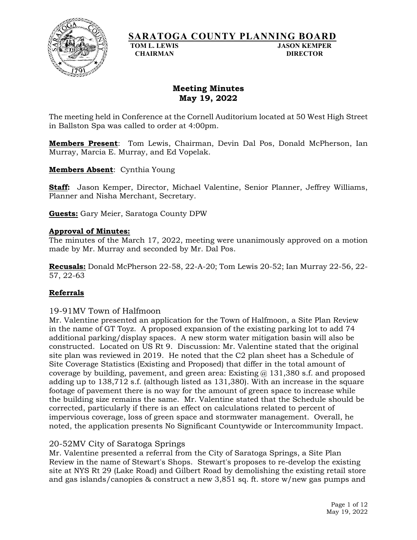

# **SARATOGA COUNTY PLANNING BOARD**<br>TOM L. LEWIS

**JASON KEMPER CHAIRMAN DIRECTOR**

# **Meeting Minutes May 19, 2022**

The meeting held in Conference at the Cornell Auditorium located at 50 West High Street in Ballston Spa was called to order at 4:00pm.

**Members Present**: Tom Lewis, Chairman, Devin Dal Pos, Donald McPherson, Ian Murray, Marcia E. Murray, and Ed Vopelak.

**Members Absent**: Cynthia Young

**Staff:** Jason Kemper, Director, Michael Valentine, Senior Planner, Jeffrey Williams, Planner and Nisha Merchant, Secretary.

**Guests:** Gary Meier, Saratoga County DPW

#### **Approval of Minutes:**

The minutes of the March 17, 2022, meeting were unanimously approved on a motion made by Mr. Murray and seconded by Mr. Dal Pos.

**Recusals:** Donald McPherson 22-58, 22-A-20; Tom Lewis 20-52; Ian Murray 22-56, 22- 57, 22-63

#### **Referrals**

#### 19-91MV Town of Halfmoon

Mr. Valentine presented an application for the Town of Halfmoon, a Site Plan Review in the name of GT Toyz. A proposed expansion of the existing parking lot to add 74 additional parking/display spaces. A new storm water mitigation basin will also be constructed. Located on US Rt 9. Discussion: Mr. Valentine stated that the original site plan was reviewed in 2019. He noted that the C2 plan sheet has a Schedule of Site Coverage Statistics (Existing and Proposed) that differ in the total amount of coverage by building, pavement, and green area: Existing  $\omega$  131,380 s.f. and proposed adding up to 138,712 s.f. (although listed as 131,380). With an increase in the square footage of pavement there is no way for the amount of green space to increase while the building size remains the same. Mr. Valentine stated that the Schedule should be corrected, particularly if there is an effect on calculations related to percent of impervious coverage, loss of green space and stormwater management. Overall, he noted, the application presents No Significant Countywide or Intercommunity Impact.

# 20-52MV City of Saratoga Springs

Mr. Valentine presented a referral from the City of Saratoga Springs, a Site Plan Review in the name of Stewart's Shops. Stewart's proposes to re-develop the existing site at NYS Rt 29 (Lake Road) and Gilbert Road by demolishing the existing retail store and gas islands/canopies & construct a new 3,851 sq. ft. store w/new gas pumps and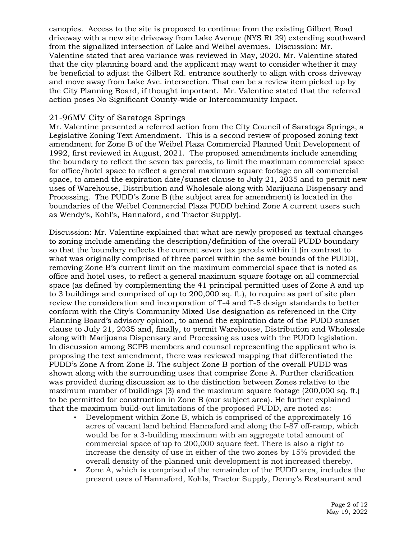canopies. Access to the site is proposed to continue from the existing Gilbert Road driveway with a new site driveway from Lake Avenue (NYS Rt 29) extending southward from the signalized intersection of Lake and Weibel avenues. Discussion: Mr. Valentine stated that area variance was reviewed in May, 2020. Mr. Valentine stated that the city planning board and the applicant may want to consider whether it may be beneficial to adjust the Gilbert Rd. entrance southerly to align with cross driveway and move away from Lake Ave. intersection. That can be a review item picked up by the City Planning Board, if thought important. Mr. Valentine stated that the referred action poses No Significant County-wide or Intercommunity Impact.

#### 21-96MV City of Saratoga Springs

Mr. Valentine presented a referred action from the City Council of Saratoga Springs, a Legislative Zoning Text Amendment. This is a second review of proposed zoning text amendment for Zone B of the Weibel Plaza Commercial Planned Unit Development of 1992, first reviewed in August, 2021. The proposed amendments include amending the boundary to reflect the seven tax parcels, to limit the maximum commercial space for office/hotel space to reflect a general maximum square footage on all commercial space, to amend the expiration date/sunset clause to July 21, 2035 and to permit new uses of Warehouse, Distribution and Wholesale along with Marijuana Dispensary and Processing. The PUDD's Zone B (the subject area for amendment) is located in the boundaries of the Weibel Commercial Plaza PUDD behind Zone A current users such as Wendy's, Kohl's, Hannaford, and Tractor Supply).

Discussion: Mr. Valentine explained that what are newly proposed as textual changes to zoning include amending the description/definition of the overall PUDD boundary so that the boundary reflects the current seven tax parcels within it (in contrast to what was originally comprised of three parcel within the same bounds of the PUDD), removing Zone B's current limit on the maximum commercial space that is noted as office and hotel uses, to reflect a general maximum square footage on all commercial space (as defined by complementing the 41 principal permitted uses of Zone A and up to 3 buildings and comprised of up to 200,000 sq. ft.), to require as part of site plan review the consideration and incorporation of T-4 and T-5 design standards to better conform with the City's Community Mixed Use designation as referenced in the City Planning Board's advisory opinion, to amend the expiration date of the PUDD sunset clause to July 21, 2035 and, finally, to permit Warehouse, Distribution and Wholesale along with Marijuana Dispensary and Processing as uses with the PUDD legislation. In discussion among SCPB members and counsel representing the applicant who is proposing the text amendment, there was reviewed mapping that differentiated the PUDD's Zone A from Zone B. The subject Zone B portion of the overall PUDD was shown along with the surrounding uses that comprise Zone A. Further clarification was provided during discussion as to the distinction between Zones relative to the maximum number of buildings (3) and the maximum square footage (200,000 sq. ft.) to be permitted for construction in Zone B (our subject area). He further explained that the maximum build-out limitations of the proposed PUDD, are noted as:

- Development within Zone B, which is comprised of the approximately 16 acres of vacant land behind Hannaford and along the I-87 off-ramp, which would be for a 3-building maximum with an aggregate total amount of commercial space of up to 200,000 square feet. There is also a right to increase the density of use in either of the two zones by 15% provided the overall density of the planned unit development is not increased thereby.
- Zone A, which is comprised of the remainder of the PUDD area, includes the present uses of Hannaford, Kohls, Tractor Supply, Denny's Restaurant and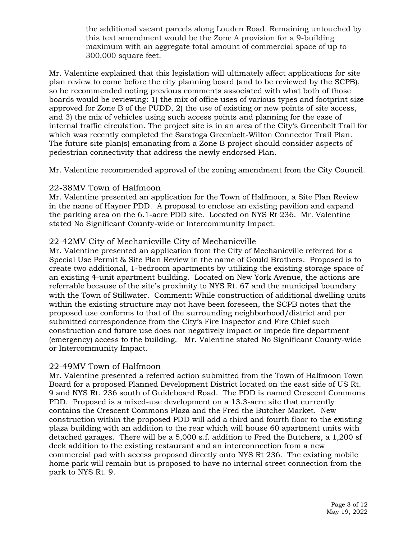the additional vacant parcels along Louden Road. Remaining untouched by this text amendment would be the Zone A provision for a 9-building maximum with an aggregate total amount of commercial space of up to 300,000 square feet.

Mr. Valentine explained that this legislation will ultimately affect applications for site plan review to come before the city planning board (and to be reviewed by the SCPB), so he recommended noting previous comments associated with what both of those boards would be reviewing: 1) the mix of office uses of various types and footprint size approved for Zone B of the PUDD, 2) the use of existing or new points of site access, and 3) the mix of vehicles using such access points and planning for the ease of internal traffic circulation. The project site is in an area of the City's Greenbelt Trail for which was recently completed the Saratoga Greenbelt-Wilton Connector Trail Plan. The future site plan(s) emanating from a Zone B project should consider aspects of pedestrian connectivity that address the newly endorsed Plan.

Mr. Valentine recommended approval of the zoning amendment from the City Council.

## 22-38MV Town of Halfmoon

Mr. Valentine presented an application for the Town of Halfmoon, a Site Plan Review in the name of Hayner PDD. A proposal to enclose an existing pavilion and expand the parking area on the 6.1-acre PDD site. Located on NYS Rt 236. Mr. Valentine stated No Significant County-wide or Intercommunity Impact.

## 22-42MV City of Mechanicville City of Mechanicville

Mr. Valentine presented an application from the City of Mechanicville referred for a Special Use Permit & Site Plan Review in the name of Gould Brothers. Proposed is to create two additional, 1-bedroom apartments by utilizing the existing storage space of an existing 4-unit apartment building. Located on New York Avenue, the actions are referrable because of the site's proximity to NYS Rt. 67 and the municipal boundary with the Town of Stillwater. Comment**:** While construction of additional dwelling units within the existing structure may not have been foreseen, the SCPB notes that the proposed use conforms to that of the surrounding neighborhood/district and per submitted correspondence from the City's Fire Inspector and Fire Chief such construction and future use does not negatively impact or impede fire department (emergency) access to the building. Mr. Valentine stated No Significant County-wide or Intercommunity Impact.

#### 22-49MV Town of Halfmoon

Mr. Valentine presented a referred action submitted from the Town of Halfmoon Town Board for a proposed Planned Development District located on the east side of US Rt. 9 and NYS Rt. 236 south of Guideboard Road. The PDD is named Crescent Commons PDD. Proposed is a mixed-use development on a 13.3-acre site that currently contains the Crescent Commons Plaza and the Fred the Butcher Market. New construction within the proposed PDD will add a third and fourth floor to the existing plaza building with an addition to the rear which will house 60 apartment units with detached garages. There will be a 5,000 s.f. addition to Fred the Butchers, a 1,200 sf deck addition to the existing restaurant and an interconnection from a new commercial pad with access proposed directly onto NYS Rt 236. The existing mobile home park will remain but is proposed to have no internal street connection from the park to NYS Rt. 9.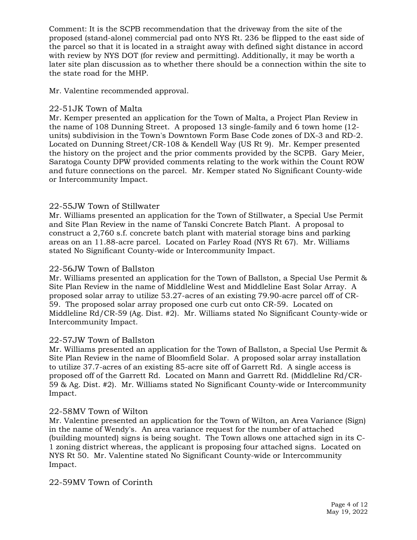Comment: It is the SCPB recommendation that the driveway from the site of the proposed (stand-alone) commercial pad onto NYS Rt. 236 be flipped to the east side of the parcel so that it is located in a straight away with defined sight distance in accord with review by NYS DOT (for review and permitting). Additionally, it may be worth a later site plan discussion as to whether there should be a connection within the site to the state road for the MHP.

Mr. Valentine recommended approval.

#### 22-51JK Town of Malta

Mr. Kemper presented an application for the Town of Malta, a Project Plan Review in the name of 108 Dunning Street. A proposed 13 single-family and 6 town home (12 units) subdivision in the Town's Downtown Form Base Code zones of DX-3 and RD-2. Located on Dunning Street/CR-108 & Kendell Way (US Rt 9). Mr. Kemper presented the history on the project and the prior comments provided by the SCPB. Gary Meier, Saratoga County DPW provided comments relating to the work within the Count ROW and future connections on the parcel. Mr. Kemper stated No Significant County-wide or Intercommunity Impact.

## 22-55JW Town of Stillwater

Mr. Williams presented an application for the Town of Stillwater, a Special Use Permit and Site Plan Review in the name of Tanski Concrete Batch Plant. A proposal to construct a 2,760 s.f. concrete batch plant with material storage bins and parking areas on an 11.88-acre parcel. Located on Farley Road (NYS Rt 67). Mr. Williams stated No Significant County-wide or Intercommunity Impact.

#### 22-56JW Town of Ballston

Mr. Williams presented an application for the Town of Ballston, a Special Use Permit & Site Plan Review in the name of Middleline West and Middleline East Solar Array. A proposed solar array to utilize 53.27-acres of an existing 79.90-acre parcel off of CR-59. The proposed solar array proposed one curb cut onto CR-59. Located on Middleline Rd/CR-59 (Ag. Dist. #2). Mr. Williams stated No Significant County-wide or Intercommunity Impact.

#### 22-57JW Town of Ballston

Mr. Williams presented an application for the Town of Ballston, a Special Use Permit & Site Plan Review in the name of Bloomfield Solar. A proposed solar array installation to utilize 37.7-acres of an existing 85-acre site off of Garrett Rd. A single access is proposed off of the Garrett Rd. Located on Mann and Garrett Rd. (Middleline Rd/CR-59 & Ag. Dist. #2). Mr. Williams stated No Significant County-wide or Intercommunity Impact.

#### 22-58MV Town of Wilton

Mr. Valentine presented an application for the Town of Wilton, an Area Variance (Sign) in the name of Wendy's. An area variance request for the number of attached (building mounted) signs is being sought. The Town allows one attached sign in its C-1 zoning district whereas, the applicant is proposing four attached signs. Located on NYS Rt 50. Mr. Valentine stated No Significant County-wide or Intercommunity Impact.

22-59MV Town of Corinth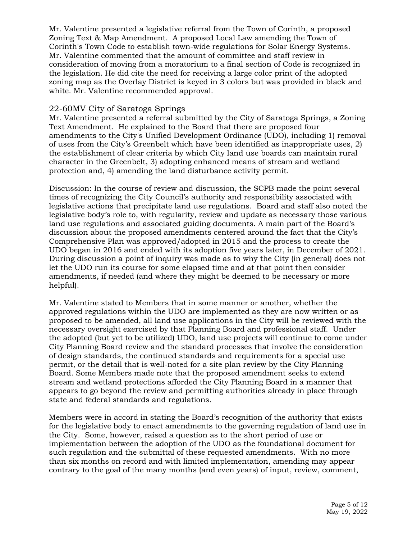Mr. Valentine presented a legislative referral from the Town of Corinth, a proposed Zoning Text & Map Amendment. A proposed Local Law amending the Town of Corinth's Town Code to establish town-wide regulations for Solar Energy Systems. Mr. Valentine commented that the amount of committee and staff review in consideration of moving from a moratorium to a final section of Code is recognized in the legislation. He did cite the need for receiving a large color print of the adopted zoning map as the Overlay District is keyed in 3 colors but was provided in black and white. Mr. Valentine recommended approval.

#### 22-60MV City of Saratoga Springs

Mr. Valentine presented a referral submitted by the City of Saratoga Springs, a Zoning Text Amendment. He explained to the Board that there are proposed four amendments to the City's Unified Development Ordinance (UDO), including 1) removal of uses from the City's Greenbelt which have been identified as inappropriate uses, 2) the establishment of clear criteria by which City land use boards can maintain rural character in the Greenbelt, 3) adopting enhanced means of stream and wetland protection and, 4) amending the land disturbance activity permit.

Discussion: In the course of review and discussion, the SCPB made the point several times of recognizing the City Council's authority and responsibility associated with legislative actions that precipitate land use regulations. Board and staff also noted the legislative body's role to, with regularity, review and update as necessary those various land use regulations and associated guiding documents. A main part of the Board's discussion about the proposed amendments centered around the fact that the City's Comprehensive Plan was approved/adopted in 2015 and the process to create the UDO began in 2016 and ended with its adoption five years later, in December of 2021. During discussion a point of inquiry was made as to why the City (in general) does not let the UDO run its course for some elapsed time and at that point then consider amendments, if needed (and where they might be deemed to be necessary or more helpful).

Mr. Valentine stated to Members that in some manner or another, whether the approved regulations within the UDO are implemented as they are now written or as proposed to be amended, all land use applications in the City will be reviewed with the necessary oversight exercised by that Planning Board and professional staff. Under the adopted (but yet to be utilized) UDO, land use projects will continue to come under City Planning Board review and the standard processes that involve the consideration of design standards, the continued standards and requirements for a special use permit, or the detail that is well-noted for a site plan review by the City Planning Board. Some Members made note that the proposed amendment seeks to extend stream and wetland protections afforded the City Planning Board in a manner that appears to go beyond the review and permitting authorities already in place through state and federal standards and regulations.

Members were in accord in stating the Board's recognition of the authority that exists for the legislative body to enact amendments to the governing regulation of land use in the City. Some, however, raised a question as to the short period of use or implementation between the adoption of the UDO as the foundational document for such regulation and the submittal of these requested amendments. With no more than six months on record and with limited implementation, amending may appear contrary to the goal of the many months (and even years) of input, review, comment,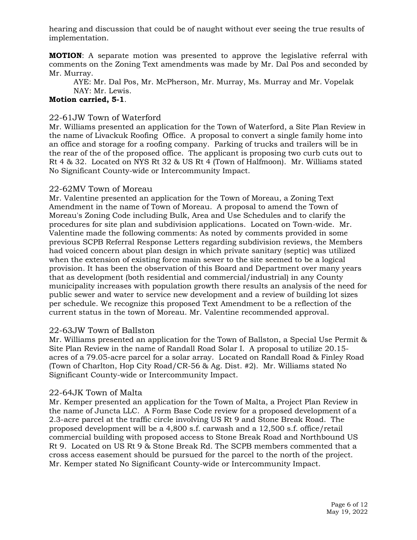hearing and discussion that could be of naught without ever seeing the true results of implementation.

**MOTION**: A separate motion was presented to approve the legislative referral with comments on the Zoning Text amendments was made by Mr. Dal Pos and seconded by Mr. Murray.

AYE: Mr. Dal Pos, Mr. McPherson, Mr. Murray, Ms. Murray and Mr. Vopelak NAY: Mr. Lewis.

#### **Motion carried, 5-1**.

#### 22-61JW Town of Waterford

Mr. Williams presented an application for the Town of Waterford, a Site Plan Review in the name of Livackuk Roofing Office. A proposal to convert a single family home into an office and storage for a roofing company. Parking of trucks and trailers will be in the rear of the of the proposed office. The applicant is proposing two curb cuts out to Rt 4 & 32. Located on NYS Rt 32 & US Rt 4 (Town of Halfmoon). Mr. Williams stated No Significant County-wide or Intercommunity Impact.

#### 22-62MV Town of Moreau

Mr. Valentine presented an application for the Town of Moreau, a Zoning Text Amendment in the name of Town of Moreau. A proposal to amend the Town of Moreau's Zoning Code including Bulk, Area and Use Schedules and to clarify the procedures for site plan and subdivision applications. Located on Town-wide. Mr. Valentine made the following comments: As noted by comments provided in some previous SCPB Referral Response Letters regarding subdivision reviews, the Members had voiced concern about plan design in which private sanitary (septic) was utilized when the extension of existing force main sewer to the site seemed to be a logical provision. It has been the observation of this Board and Department over many years that as development (both residential and commercial/industrial) in any County municipality increases with population growth there results an analysis of the need for public sewer and water to service new development and a review of building lot sizes per schedule. We recognize this proposed Text Amendment to be a reflection of the current status in the town of Moreau. Mr. Valentine recommended approval.

#### 22-63JW Town of Ballston

Mr. Williams presented an application for the Town of Ballston, a Special Use Permit & Site Plan Review in the name of Randall Road Solar I. A proposal to utilize 20.15 acres of a 79.05-acre parcel for a solar array. Located on Randall Road & Finley Road (Town of Charlton, Hop City Road/CR-56 & Ag. Dist. #2). Mr. Williams stated No Significant County-wide or Intercommunity Impact.

#### 22-64JK Town of Malta

Mr. Kemper presented an application for the Town of Malta, a Project Plan Review in the name of Juncta LLC. A Form Base Code review for a proposed development of a 2.3-acre parcel at the traffic circle involving US Rt 9 and Stone Break Road. The proposed development will be a 4,800 s.f. carwash and a 12,500 s.f. office/retail commercial building with proposed access to Stone Break Road and Northbound US Rt 9. Located on US Rt 9 & Stone Break Rd. The SCPB members commented that a cross access easement should be pursued for the parcel to the north of the project. Mr. Kemper stated No Significant County-wide or Intercommunity Impact.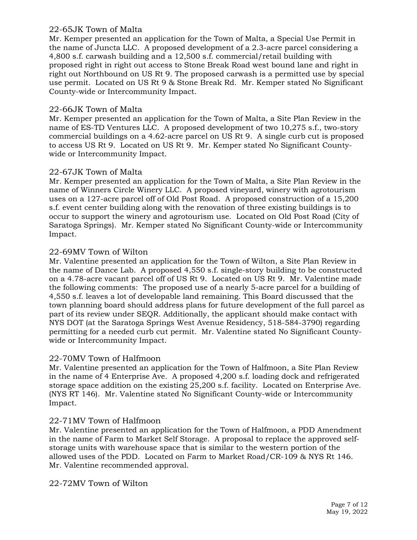#### 22-65JK Town of Malta

Mr. Kemper presented an application for the Town of Malta, a Special Use Permit in the name of Juncta LLC. A proposed development of a 2.3-acre parcel considering a 4,800 s.f. carwash building and a 12,500 s.f. commercial/retail building with proposed right in right out access to Stone Break Road west bound lane and right in right out Northbound on US Rt 9. The proposed carwash is a permitted use by special use permit. Located on US Rt 9 & Stone Break Rd. Mr. Kemper stated No Significant County-wide or Intercommunity Impact.

# 22-66JK Town of Malta

Mr. Kemper presented an application for the Town of Malta, a Site Plan Review in the name of ES-TD Ventures LLC. A proposed development of two 10,275 s.f., two-story commercial buildings on a 4.62-acre parcel on US Rt 9. A single curb cut is proposed to access US Rt 9. Located on US Rt 9. Mr. Kemper stated No Significant Countywide or Intercommunity Impact.

## 22-67JK Town of Malta

Mr. Kemper presented an application for the Town of Malta, a Site Plan Review in the name of Winners Circle Winery LLC. A proposed vineyard, winery with agrotourism uses on a 127-acre parcel off of Old Post Road. A proposed construction of a 15,200 s.f. event center building along with the renovation of three existing buildings is to occur to support the winery and agrotourism use. Located on Old Post Road (City of Saratoga Springs). Mr. Kemper stated No Significant County-wide or Intercommunity Impact.

## 22-69MV Town of Wilton

Mr. Valentine presented an application for the Town of Wilton, a Site Plan Review in the name of Dance Lab. A proposed 4,550 s.f. single-story building to be constructed on a 4.78-acre vacant parcel off of US Rt 9. Located on US Rt 9. Mr. Valentine made the following comments: The proposed use of a nearly 5-acre parcel for a building of 4,550 s.f. leaves a lot of developable land remaining. This Board discussed that the town planning board should address plans for future development of the full parcel as part of its review under SEQR. Additionally, the applicant should make contact with NYS DOT (at the Saratoga Springs West Avenue Residency, 518-584-3790) regarding permitting for a needed curb cut permit. Mr. Valentine stated No Significant Countywide or Intercommunity Impact.

#### 22-70MV Town of Halfmoon

Mr. Valentine presented an application for the Town of Halfmoon, a Site Plan Review in the name of 4 Enterprise Ave. A proposed 4,200 s.f. loading dock and refrigerated storage space addition on the existing 25,200 s.f. facility. Located on Enterprise Ave. (NYS RT 146). Mr. Valentine stated No Significant County-wide or Intercommunity Impact.

# 22-71MV Town of Halfmoon

Mr. Valentine presented an application for the Town of Halfmoon, a PDD Amendment in the name of Farm to Market Self Storage. A proposal to replace the approved selfstorage units with warehouse space that is similar to the western portion of the allowed uses of the PDD. Located on Farm to Market Road/CR-109 & NYS Rt 146. Mr. Valentine recommended approval.

#### 22-72MV Town of Wilton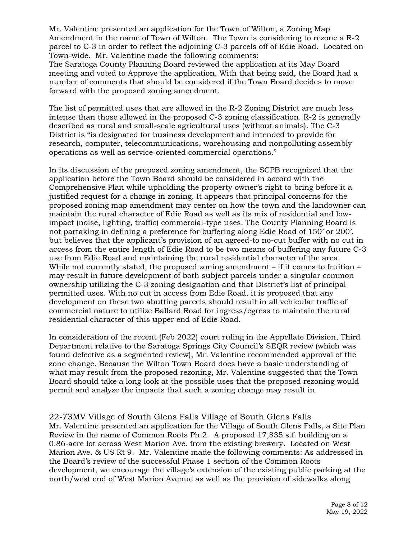Mr. Valentine presented an application for the Town of Wilton, a Zoning Map Amendment in the name of Town of Wilton. The Town is considering to rezone a R-2 parcel to C-3 in order to reflect the adjoining C-3 parcels off of Edie Road. Located on Town-wide. Mr. Valentine made the following comments:

The Saratoga County Planning Board reviewed the application at its May Board meeting and voted to Approve the application. With that being said, the Board had a number of comments that should be considered if the Town Board decides to move forward with the proposed zoning amendment.

The list of permitted uses that are allowed in the R-2 Zoning District are much less intense than those allowed in the proposed C-3 zoning classification. R-2 is generally described as rural and small-scale agricultural uses (without animals). The C-3 District is "is designated for business development and intended to provide for research, computer, telecommunications, warehousing and nonpolluting assembly operations as well as service-oriented commercial operations."

In its discussion of the proposed zoning amendment, the SCPB recognized that the application before the Town Board should be considered in accord with the Comprehensive Plan while upholding the property owner's right to bring before it a justified request for a change in zoning. It appears that principal concerns for the proposed zoning map amendment may center on how the town and the landowner can maintain the rural character of Edie Road as well as its mix of residential and lowimpact (noise, lighting, traffic) commercial-type uses. The County Planning Board is not partaking in defining a preference for buffering along Edie Road of 150' or 200', but believes that the applicant's provision of an agreed-to no-cut buffer with no cut in access from the entire length of Edie Road to be two means of buffering any future C-3 use from Edie Road and maintaining the rural residential character of the area. While not currently stated, the proposed zoning amendment – if it comes to fruition – may result in future development of both subject parcels under a singular common ownership utilizing the C-3 zoning designation and that District's list of principal permitted uses. With no cut in access from Edie Road, it is proposed that any development on these two abutting parcels should result in all vehicular traffic of commercial nature to utilize Ballard Road for ingress/egress to maintain the rural residential character of this upper end of Edie Road.

In consideration of the recent (Feb 2022) court ruling in the Appellate Division, Third Department relative to the Saratoga Springs City Council's SEQR review (which was found defective as a segmented review), Mr. Valentine recommended approval of the zone change. Because the Wilton Town Board does have a basic understanding of what may result from the proposed rezoning, Mr. Valentine suggested that the Town Board should take a long look at the possible uses that the proposed rezoning would permit and analyze the impacts that such a zoning change may result in.

22-73MV Village of South Glens Falls Village of South Glens Falls Mr. Valentine presented an application for the Village of South Glens Falls, a Site Plan Review in the name of Common Roots Ph 2. A proposed 17,835 s.f. building on a 0.86-acre lot across West Marion Ave. from the existing brewery. Located on West Marion Ave. & US Rt 9. Mr. Valentine made the following comments: As addressed in the Board's review of the successful Phase 1 section of the Common Roots development, we encourage the village's extension of the existing public parking at the north/west end of West Marion Avenue as well as the provision of sidewalks along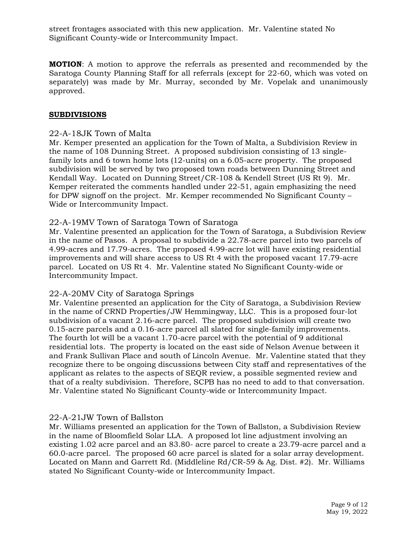street frontages associated with this new application. Mr. Valentine stated No Significant County-wide or Intercommunity Impact.

**MOTION**: A motion to approve the referrals as presented and recommended by the Saratoga County Planning Staff for all referrals (except for 22-60, which was voted on separately) was made by Mr. Murray, seconded by Mr. Vopelak and unanimously approved.

#### **SUBDIVISIONS**

#### 22-A-18JK Town of Malta

Mr. Kemper presented an application for the Town of Malta, a Subdivision Review in the name of 108 Dunning Street. A proposed subdivision consisting of 13 singlefamily lots and 6 town home lots (12-units) on a 6.05-acre property. The proposed subdivision will be served by two proposed town roads between Dunning Street and Kendall Way. Located on Dunning Street/CR-108 & Kendell Street (US Rt 9). Mr. Kemper reiterated the comments handled under 22-51, again emphasizing the need for DPW signoff on the project. Mr. Kemper recommended No Significant County – Wide or Intercommunity Impact.

#### 22-A-19MV Town of Saratoga Town of Saratoga

Mr. Valentine presented an application for the Town of Saratoga, a Subdivision Review in the name of Pasos. A proposal to subdivide a 22.78-acre parcel into two parcels of 4.99-acres and 17.79-acres. The proposed 4.99-acre lot will have existing residential improvements and will share access to US Rt 4 with the proposed vacant 17.79-acre parcel. Located on US Rt 4. Mr. Valentine stated No Significant County-wide or Intercommunity Impact.

#### 22-A-20MV City of Saratoga Springs

Mr. Valentine presented an application for the City of Saratoga, a Subdivision Review in the name of CRND Properties/JW Hemmingway, LLC.This is a proposed four-lot subdivision of a vacant 2.16-acre parcel. The proposed subdivision will create two 0.15-acre parcels and a 0.16-acre parcel all slated for single-family improvements. The fourth lot will be a vacant 1.70-acre parcel with the potential of 9 additional residential lots. The property is located on the east side of Nelson Avenue between it and Frank Sullivan Place and south of Lincoln Avenue. Mr. Valentine stated that they recognize there to be ongoing discussions between City staff and representatives of the applicant as relates to the aspects of SEQR review, a possible segmented review and that of a realty subdivision. Therefore, SCPB has no need to add to that conversation. Mr. Valentine stated No Significant County-wide or Intercommunity Impact.

# 22-A-21JW Town of Ballston

Mr. Williams presented an application for the Town of Ballston, a Subdivision Review in the name of Bloomfield Solar LLA. A proposed lot line adjustment involving an existing 1.02 acre parcel and an 83.80- acre parcel to create a 23.79-acre parcel and a 60.0-acre parcel. The proposed 60 acre parcel is slated for a solar array development. Located on Mann and Garrett Rd. (Middleline Rd/CR-59 & Ag. Dist. #2). Mr. Williams stated No Significant County-wide or Intercommunity Impact.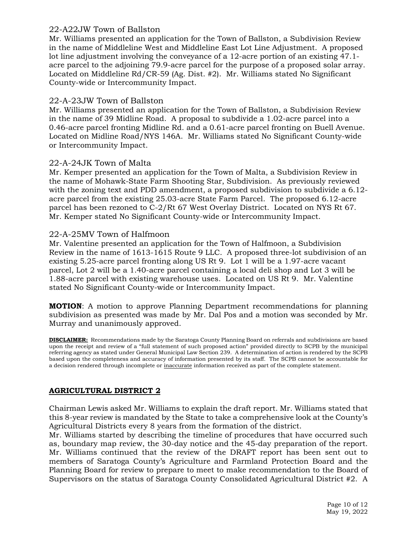#### 22-A22JW Town of Ballston

Mr. Williams presented an application for the Town of Ballston, a Subdivision Review in the name of Middleline West and Middleline East Lot Line Adjustment. A proposed lot line adjustment involving the conveyance of a 12-acre portion of an existing 47.1 acre parcel to the adjoining 79.9-acre parcel for the purpose of a proposed solar array. Located on Middleline Rd/CR-59 (Ag. Dist. #2). Mr. Williams stated No Significant County-wide or Intercommunity Impact.

# 22-A-23JW Town of Ballston

Mr. Williams presented an application for the Town of Ballston, a Subdivision Review in the name of 39 Midline Road. A proposal to subdivide a 1.02-acre parcel into a 0.46-acre parcel fronting Midline Rd. and a 0.61-acre parcel fronting on Buell Avenue. Located on Midline Road/NYS 146A. Mr. Williams stated No Significant County-wide or Intercommunity Impact.

## 22-A-24JK Town of Malta

Mr. Kemper presented an application for the Town of Malta, a Subdivision Review in the name of Mohawk-State Farm Shooting Star, Subdivision. As previously reviewed with the zoning text and PDD amendment, a proposed subdivision to subdivide a 6.12 acre parcel from the existing 25.03-acre State Farm Parcel. The proposed 6.12-acre parcel has been rezoned to C-2/Rt 67 West Overlay District. Located on NYS Rt 67. Mr. Kemper stated No Significant County-wide or Intercommunity Impact.

## 22-A-25MV Town of Halfmoon

Mr. Valentine presented an application for the Town of Halfmoon, a Subdivision Review in the name of 1613-1615 Route 9 LLC. A proposed three-lot subdivision of an existing 5.25-acre parcel fronting along US Rt 9. Lot 1 will be a 1.97-acre vacant parcel, Lot 2 will be a 1.40-acre parcel containing a local deli shop and Lot 3 will be 1.88-acre parcel with existing warehouse uses. Located on US Rt 9. Mr. Valentine stated No Significant County-wide or Intercommunity Impact.

**MOTION**: A motion to approve Planning Department recommendations for planning subdivision as presented was made by Mr. Dal Pos and a motion was seconded by Mr. Murray and unanimously approved.

**DISCLAIMER:** Recommendations made by the Saratoga County Planning Board on referrals and subdivisions are based upon the receipt and review of a "full statement of such proposed action" provided directly to SCPB by the municipal referring agency as stated under General Municipal Law Section 239. A determination of action is rendered by the SCPB based upon the completeness and accuracy of information presented by its staff. The SCPB cannot be accountable for a decision rendered through incomplete or inaccurate information received as part of the complete statement.

#### **AGRICULTURAL DISTRICT 2**

Chairman Lewis asked Mr. Williams to explain the draft report. Mr. Williams stated that this 8-year review is mandated by the State to take a comprehensive look at the County's Agricultural Districts every 8 years from the formation of the district.

Mr. Williams started by describing the timeline of procedures that have occurred such as, boundary map review, the 30-day notice and the 45-day preparation of the report. Mr. Williams continued that the review of the DRAFT report has been sent out to members of Saratoga County's Agriculture and Farmland Protection Board and the Planning Board for review to prepare to meet to make recommendation to the Board of Supervisors on the status of Saratoga County Consolidated Agricultural District #2. A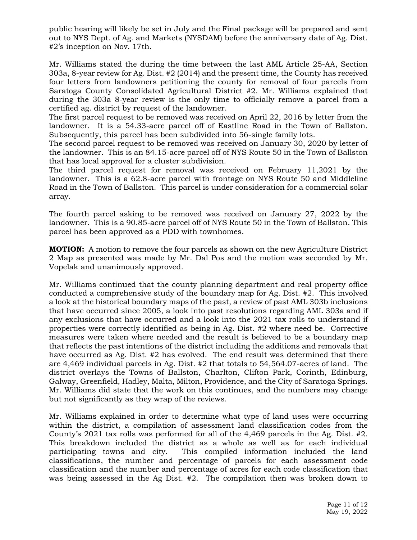public hearing will likely be set in July and the Final package will be prepared and sent out to NYS Dept. of Ag. and Markets (NYSDAM) before the anniversary date of Ag. Dist. #2's inception on Nov. 17th.

Mr. Williams stated the during the time between the last AML Article 25-AA, Section 303a, 8-year review for Ag. Dist. #2 (2014) and the present time, the County has received four letters from landowners petitioning the county for removal of four parcels from Saratoga County Consolidated Agricultural District #2. Mr. Williams explained that during the 303a 8-year review is the only time to officially remove a parcel from a certified ag. district by request of the landowner.

The first parcel request to be removed was received on April 22, 2016 by letter from the landowner. It is a 54.33-acre parcel off of Eastline Road in the Town of Ballston. Subsequently, this parcel has been subdivided into 56-single family lots.

The second parcel request to be removed was received on January 30, 2020 by letter of the landowner. This is an 84.15-acre parcel off of NYS Route 50 in the Town of Ballston that has local approval for a cluster subdivision.

The third parcel request for removal was received on February 11,2021 by the landowner. This is a 62.8-acre parcel with frontage on NYS Route 50 and Middleline Road in the Town of Ballston. This parcel is under consideration for a commercial solar array.

The fourth parcel asking to be removed was received on January 27, 2022 by the landowner. This is a 90.85-acre parcel off of NYS Route 50 in the Town of Ballston. This parcel has been approved as a PDD with townhomes.

**MOTION:** A motion to remove the four parcels as shown on the new Agriculture District 2 Map as presented was made by Mr. Dal Pos and the motion was seconded by Mr. Vopelak and unanimously approved.

Mr. Williams continued that the county planning department and real property office conducted a comprehensive study of the boundary map for Ag. Dist. #2. This involved a look at the historical boundary maps of the past, a review of past AML 303b inclusions that have occurred since 2005, a look into past resolutions regarding AML 303a and if any exclusions that have occurred and a look into the 2021 tax rolls to understand if properties were correctly identified as being in Ag. Dist. #2 where need be. Corrective measures were taken where needed and the result is believed to be a boundary map that reflects the past intentions of the district including the additions and removals that have occurred as Ag. Dist. #2 has evolved. The end result was determined that there are 4,469 individual parcels in Ag. Dist. #2 that totals to 54,564.07-acres of land. The district overlays the Towns of Ballston, Charlton, Clifton Park, Corinth, Edinburg, Galway, Greenfield, Hadley, Malta, Milton, Providence, and the City of Saratoga Springs. Mr. Williams did state that the work on this continues, and the numbers may change but not significantly as they wrap of the reviews.

Mr. Williams explained in order to determine what type of land uses were occurring within the district, a compilation of assessment land classification codes from the County's 2021 tax rolls was performed for all of the 4,469 parcels in the Ag. Dist. #2. This breakdown included the district as a whole as well as for each individual participating towns and city. This compiled information included the land classifications, the number and percentage of parcels for each assessment code classification and the number and percentage of acres for each code classification that was being assessed in the Ag Dist. #2. The compilation then was broken down to